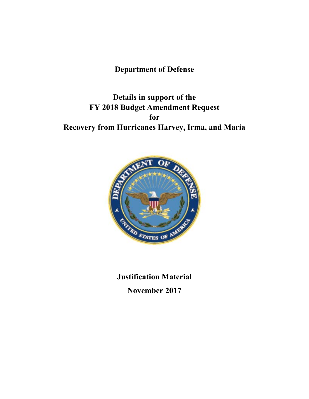# **Department of Defense**

**Details in support of the FY 2018 Budget Amendment Request for Recovery from Hurricanes Harvey, Irma, and Maria** 



**Justification Material November 2017**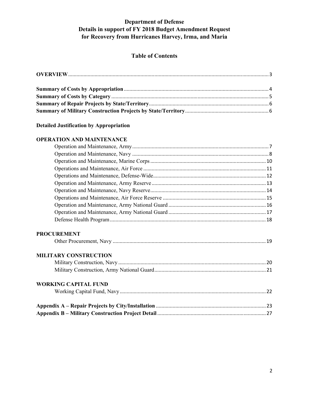## **Table of Contents**

## **Detailed Justification by Appropriation**

#### **OPERATION AND MAINTENANCE**

| <b>PROCUREMENT</b>           |  |
|------------------------------|--|
| <b>MILITARY CONSTRUCTION</b> |  |
|                              |  |
|                              |  |
| <b>WORKING CAPITAL FUND</b>  |  |
|                              |  |
|                              |  |
|                              |  |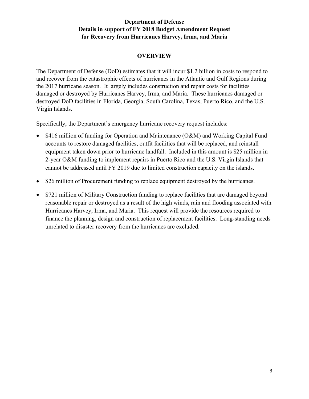## **OVERVIEW**

The Department of Defense (DoD) estimates that it will incur \$1.2 billion in costs to respond to and recover from the catastrophic effects of hurricanes in the Atlantic and Gulf Regions during the 2017 hurricane season. It largely includes construction and repair costs for facilities damaged or destroyed by Hurricanes Harvey, Irma, and Maria. These hurricanes damaged or destroyed DoD facilities in Florida, Georgia, South Carolina, Texas, Puerto Rico, and the U.S. Virgin Islands.

Specifically, the Department's emergency hurricane recovery request includes:

- \$416 million of funding for Operation and Maintenance (O&M) and Working Capital Fund accounts to restore damaged facilities, outfit facilities that will be replaced, and reinstall equipment taken down prior to hurricane landfall. Included in this amount is \$25 million in 2-year O&M funding to implement repairs in Puerto Rico and the U.S. Virgin Islands that cannot be addressed until FY 2019 due to limited construction capacity on the islands.
- \$26 million of Procurement funding to replace equipment destroyed by the hurricanes.
- \$721 million of Military Construction funding to replace facilities that are damaged beyond reasonable repair or destroyed as a result of the high winds, rain and flooding associated with Hurricanes Harvey, Irma, and Maria. This request will provide the resources required to finance the planning, design and construction of replacement facilities. Long-standing needs unrelated to disaster recovery from the hurricanes are excluded.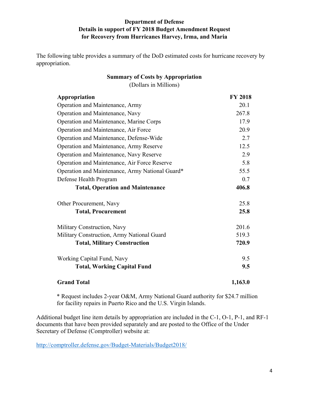The following table provides a summary of the DoD estimated costs for hurricane recovery by appropriation.

| <b>Summary of Costs by Appropriation</b> |
|------------------------------------------|
| (Dollars in Millions)                    |

| <b>Appropriation</b>                            | <b>FY 2018</b> |
|-------------------------------------------------|----------------|
| Operation and Maintenance, Army                 | 20.1           |
| Operation and Maintenance, Navy                 | 267.8          |
| Operation and Maintenance, Marine Corps         | 17.9           |
| Operation and Maintenance, Air Force            | 20.9           |
| Operation and Maintenance, Defense-Wide         | 2.7            |
| Operation and Maintenance, Army Reserve         | 12.5           |
| Operation and Maintenance, Navy Reserve         | 2.9            |
| Operation and Maintenance, Air Force Reserve    | 5.8            |
| Operation and Maintenance, Army National Guard* | 55.5           |
| Defense Health Program                          | 0.7            |
| <b>Total, Operation and Maintenance</b>         | 406.8          |
| Other Procurement, Navy                         | 25.8           |
| <b>Total, Procurement</b>                       | 25.8           |
| Military Construction, Navy                     | 201.6          |
| Military Construction, Army National Guard      | 519.3          |
| <b>Total, Military Construction</b>             | 720.9          |
| Working Capital Fund, Navy                      | 9.5            |
| <b>Total, Working Capital Fund</b>              | 9.5            |
| <b>Grand Total</b>                              | 1,163.0        |

\* Request includes 2-year O&M, Army National Guard authority for \$24.7 million for facility repairs in Puerto Rico and the U.S. Virgin Islands.

Additional budget line item details by appropriation are included in the C-1, O-1, P-1, and RF-1 documents that have been provided separately and are posted to the Office of the Under Secretary of Defense (Comptroller) website at:

http://comptroller.defense.gov/Budget-Materials/Budget2018/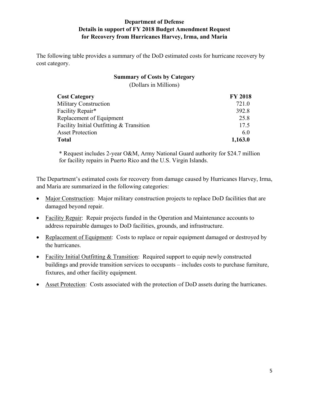The following table provides a summary of the DoD estimated costs for hurricane recovery by cost category.

## **Summary of Costs by Category**  (Dollars in Millions)

| <b>Cost Category</b>                     | <b>FY 2018</b> |
|------------------------------------------|----------------|
| <b>Military Construction</b>             | 721.0          |
| Facility Repair*                         | 392.8          |
| Replacement of Equipment                 | 25.8           |
| Facility Initial Outfitting & Transition | 17.5           |
| <b>Asset Protection</b>                  | 6.0            |
| Total                                    | 1,163.0        |

\* Request includes 2-year O&M, Army National Guard authority for \$24.7 million for facility repairs in Puerto Rico and the U.S. Virgin Islands.

The Department's estimated costs for recovery from damage caused by Hurricanes Harvey, Irma, and Maria are summarized in the following categories:

- Major Construction: Major military construction projects to replace DoD facilities that are damaged beyond repair.
- Facility Repair: Repair projects funded in the Operation and Maintenance accounts to address repairable damages to DoD facilities, grounds, and infrastructure.
- Replacement of Equipment: Costs to replace or repair equipment damaged or destroyed by the hurricanes.
- Facility Initial Outfitting & Transition: Required support to equip newly constructed buildings and provide transition services to occupants – includes costs to purchase furniture, fixtures, and other facility equipment.
- Asset Protection: Costs associated with the protection of DoD assets during the hurricanes.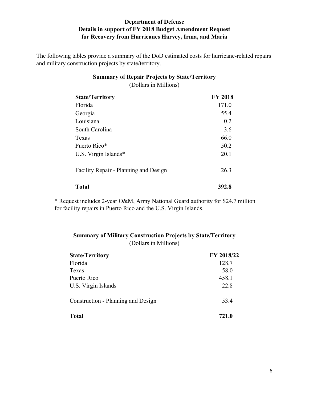The following tables provide a summary of the DoD estimated costs for hurricane-related repairs and military construction projects by state/territory.

| <b>Summary of Repair Projects by State/Territory</b><br>(Dollars in Millions) |                |  |
|-------------------------------------------------------------------------------|----------------|--|
| <b>State/Territory</b>                                                        | <b>FY 2018</b> |  |
| Florida                                                                       | 171.0          |  |
| Georgia                                                                       | 55.4           |  |
| Louisiana                                                                     | 0.2            |  |
| South Carolina                                                                | 3.6            |  |
| Texas                                                                         | 66.0           |  |
| Puerto Rico*                                                                  | 50.2           |  |

| <b>Total</b>                          | 392.8 |
|---------------------------------------|-------|
| Facility Repair - Planning and Design | 26.3  |
| U.S. Virgin Islands $*$               | 20.1  |

\* Request includes 2-year O&M, Army National Guard authority for \$24.7 million for facility repairs in Puerto Rico and the U.S. Virgin Islands.

## **Summary of Military Construction Projects by State/Territory**  (Dollars in Millions)

| <b>State/Territory</b>             | <b>FY 2018/22</b> |
|------------------------------------|-------------------|
| Florida                            | 128.7             |
| Texas                              | 58.0              |
| Puerto Rico                        | 458.1             |
| U.S. Virgin Islands                | 22.8              |
| Construction - Planning and Design | 53.4              |
| <b>Total</b>                       | 721.0             |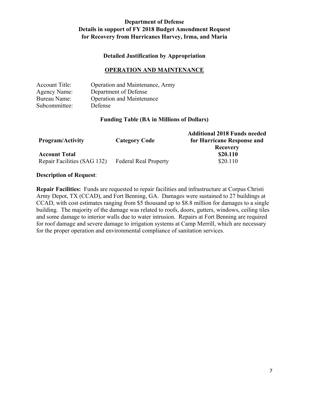#### **Detailed Justification by Appropriation**

#### **OPERATION AND MAINTENANCE**

| <b>Account Title:</b> | Operation and Maintenance, Army  |
|-----------------------|----------------------------------|
| <b>Agency Name:</b>   | Department of Defense            |
| Bureau Name:          | <b>Operation and Maintenance</b> |
| Subcommittee:         | Defense                          |

#### **Funding Table (BA in Millions of Dollars)**

| <b>Program/Activity</b>     | <b>Category Code</b>         | <b>Additional 2018 Funds needed</b><br>for Hurricane Response and |
|-----------------------------|------------------------------|-------------------------------------------------------------------|
|                             |                              | <b>Recovery</b>                                                   |
| <b>Account Total</b>        |                              | \$20.110                                                          |
| Repair Facilities (SAG 132) | <b>Federal Real Property</b> | \$20.110                                                          |

#### **Description of Request**:

**Repair Facilities:** Funds are requested to repair facilities and infrastructure at Corpus Christi Army Depot, TX (CCAD), and Fort Benning, GA. Damages were sustained to 27 buildings at CCAD, with cost estimates ranging from \$5 thousand up to \$8.8 million for damages to a single building. The majority of the damage was related to roofs, doors, gutters, windows, ceiling tiles and some damage to interior walls due to water intrusion. Repairs at Fort Benning are required for roof damage and severe damage to irrigation systems at Camp Merrill, which are necessary for the proper operation and environmental compliance of sanitation services.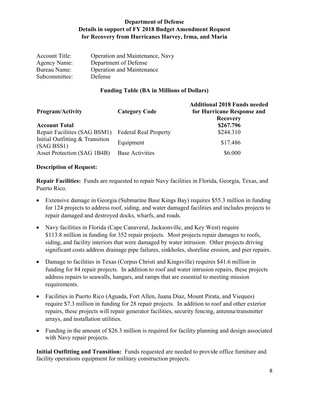| <b>Account Title:</b> | Operation and Maintenance, Navy  |
|-----------------------|----------------------------------|
| Agency Name:          | Department of Defense            |
| Bureau Name:          | <b>Operation and Maintenance</b> |
| Subcommittee:         | Defense                          |

#### **Funding Table (BA in Millions of Dollars)**

| <b>Program/Activity</b>                       | <b>Category Code</b>         | <b>Additional 2018 Funds needed</b><br>for Hurricane Response and<br><b>Recovery</b> |
|-----------------------------------------------|------------------------------|--------------------------------------------------------------------------------------|
| <b>Account Total</b>                          |                              | \$267.796                                                                            |
| Repair Facilities (SAG BSM1)                  | <b>Federal Real Property</b> | \$244.310                                                                            |
| Initial Outfitting & Transition<br>(SAG BSS1) | Equipment                    | \$17.486                                                                             |
| Asset Protection (SAG 1B4B)                   | <b>Base Activities</b>       | \$6.000                                                                              |

#### **Description of Request:**

**Repair Facilities:** Funds are requested to repair Navy facilities in Florida, Georgia, Texas, and Puerto Rico.

- Extensive damage in Georgia (Submarine Base Kings Bay) requires \$55.3 million in funding for 124 projects to address roof, siding, and water damaged facilities and includes projects to repair damaged and destroyed docks, wharfs, and roads.
- Navy facilities in Florida (Cape Canaveral, Jacksonville, and Key West) require \$113.8 million in funding for 352 repair projects. Most projects repair damages to roofs, siding, and facility interiors that were damaged by water intrusion. Other projects driving significant costs address drainage pipe failures, sinkholes, shoreline erosion, and pier repairs.
- Damage to facilities in Texas (Corpus Christi and Kingsville) requires \$41.6 million in funding for 84 repair projects. In addition to roof and water intrusion repairs, these projects address repairs to seawalls, hangars, and ramps that are essential to meeting mission requirements.
- Facilities in Puerto Rico (Aguada, Fort Allen, Juana Diaz, Mount Pirata, and Vieques) require \$7.3 million in funding for 28 repair projects. In addition to roof and other exterior repairs, these projects will repair generator facilities, security fencing, antenna/transmitter arrays, and installation utilities.
- Funding in the amount of \$26.3 million is required for facility planning and design associated with Navy repair projects.

**Initial Outfitting and Transition:** Funds requested are needed to provide office furniture and facility operations equipment for military construction projects.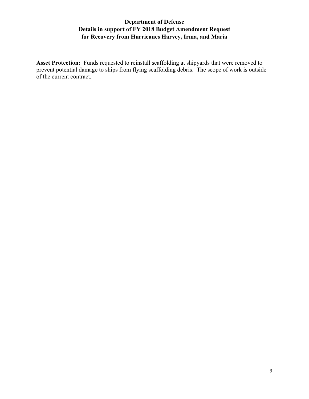**Asset Protection:** Funds requested to reinstall scaffolding at shipyards that were removed to prevent potential damage to ships from flying scaffolding debris. The scope of work is outside of the current contract.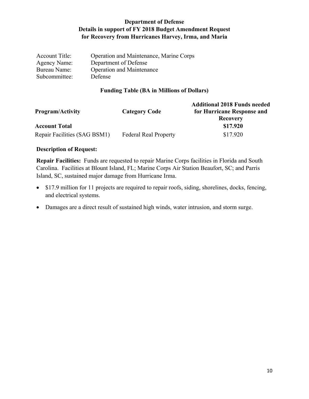| <b>Account Title:</b> | Operation and Maintenance, Marine Corps |
|-----------------------|-----------------------------------------|
| Agency Name:          | Department of Defense                   |
| Bureau Name:          | <b>Operation and Maintenance</b>        |
| Subcommittee:         | Defense                                 |

## **Funding Table (BA in Millions of Dollars)**

| <b>Program/Activity</b>      | <b>Category Code</b>         | <b>Additional 2018 Funds needed</b><br>for Hurricane Response and |
|------------------------------|------------------------------|-------------------------------------------------------------------|
| <b>Account Total</b>         |                              | <b>Recovery</b><br>\$17.920                                       |
|                              |                              |                                                                   |
| Repair Facilities (SAG BSM1) | <b>Federal Real Property</b> | \$17.920                                                          |

#### **Description of Request:**

**Repair Facilities:** Funds are requested to repair Marine Corps facilities in Florida and South Carolina. Facilities at Blount Island, FL; Marine Corps Air Station Beaufort, SC; and Parris Island, SC, sustained major damage from Hurricane Irma.

- \$17.9 million for 11 projects are required to repair roofs, siding, shorelines, docks, fencing, and electrical systems.
- Damages are a direct result of sustained high winds, water intrusion, and storm surge.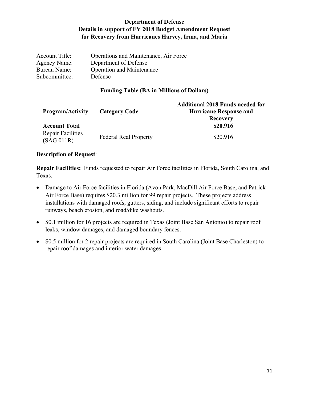| Operations and Maintenance, Air Force |
|---------------------------------------|
| Department of Defense                 |
| <b>Operation and Maintenance</b>      |
| <b>Defense</b>                        |
|                                       |

#### **Funding Table (BA in Millions of Dollars)**

| <b>Program/Activity</b>         | <b>Category Code</b>         | <b>Additional 2018 Funds needed for</b><br><b>Hurricane Response and</b><br><b>Recovery</b> |
|---------------------------------|------------------------------|---------------------------------------------------------------------------------------------|
| <b>Account Total</b>            |                              | \$20.916                                                                                    |
| Repair Facilities<br>(SAG 011R) | <b>Federal Real Property</b> | \$20.916                                                                                    |

#### **Description of Request**:

**Repair Facilities:** Funds requested to repair Air Force facilities in Florida, South Carolina, and Texas.

- Damage to Air Force facilities in Florida (Avon Park, MacDill Air Force Base, and Patrick Air Force Base) requires \$20.3 million for 99 repair projects. These projects address installations with damaged roofs, gutters, siding, and include significant efforts to repair runways, beach erosion, and road/dike washouts.
- \$0.1 million for 16 projects are required in Texas (Joint Base San Antonio) to repair roof leaks, window damages, and damaged boundary fences.
- \$0.5 million for 2 repair projects are required in South Carolina (Joint Base Charleston) to repair roof damages and interior water damages.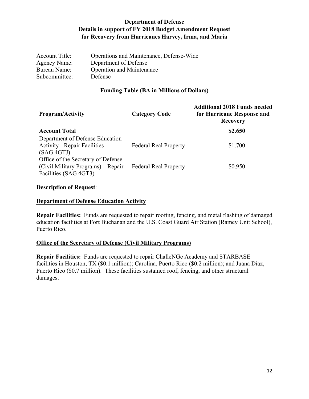| <b>Account Title:</b> | Operations and Maintenance, Defense-Wide |
|-----------------------|------------------------------------------|
| <b>Agency Name:</b>   | Department of Defense                    |
| Bureau Name:          | <b>Operation and Maintenance</b>         |
| Subcommittee:         | <b>Defense</b>                           |

#### **Funding Table (BA in Millions of Dollars)**

| <b>Program/Activity</b>             | <b>Category Code</b>         | <b>Additional 2018 Funds needed</b><br>for Hurricane Response and<br><b>Recovery</b> |
|-------------------------------------|------------------------------|--------------------------------------------------------------------------------------|
| <b>Account Total</b>                |                              | \$2.650                                                                              |
| Department of Defense Education     |                              |                                                                                      |
| <b>Activity - Repair Facilities</b> | <b>Federal Real Property</b> | \$1.700                                                                              |
| (SAG 4GTJ)                          |                              |                                                                                      |
| Office of the Secretary of Defense  |                              |                                                                                      |
| (Civil Military Programs) – Repair  | <b>Federal Real Property</b> | \$0.950                                                                              |
| Facilities (SAG 4GT3)               |                              |                                                                                      |

#### **Description of Request**:

## **Department of Defense Education Activity**

**Repair Facilities:** Funds are requested to repair roofing, fencing, and metal flashing of damaged education facilities at Fort Buchanan and the U.S. Coast Guard Air Station (Ramey Unit School), Puerto Rico.

## **Office of the Secretary of Defense (Civil Military Programs)**

**Repair Facilities:** Funds are requested to repair ChalleNGe Academy and STARBASE facilities in Houston, TX (\$0.1 million); Carolina, Puerto Rico (\$0.2 million); and Juana Díaz, Puerto Rico (\$0.7 million). These facilities sustained roof, fencing, and other structural damages.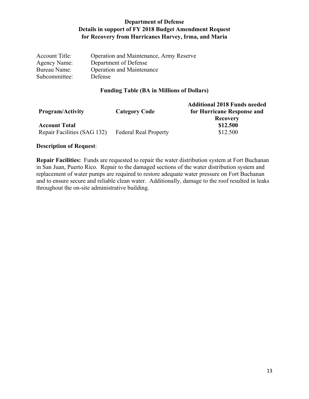| <b>Account Title:</b> | Operation and Maintenance, Army Reserve |
|-----------------------|-----------------------------------------|
| Agency Name:          | Department of Defense                   |
| Bureau Name:          | <b>Operation and Maintenance</b>        |
| Subcommittee:         | <b>Defense</b>                          |

## **Funding Table (BA in Millions of Dollars)**

| <b>Program/Activity</b>                             | <b>Category Code</b>         | <b>Additional 2018 Funds needed</b><br>for Hurricane Response and<br><b>Recovery</b> |
|-----------------------------------------------------|------------------------------|--------------------------------------------------------------------------------------|
| <b>Account Total</b><br>Repair Facilities (SAG 132) | <b>Federal Real Property</b> | \$12.500<br>\$12.500                                                                 |

#### **Description of Request**:

**Repair Facilities:** Funds are requested to repair the water distribution system at Fort Buchanan in San Juan, Puerto Rico. Repair to the damaged sections of the water distribution system and replacement of water pumps are required to restore adequate water pressure on Fort Buchanan and to ensure secure and reliable clean water. Additionally, damage to the roof resulted in leaks throughout the on-site administrative building.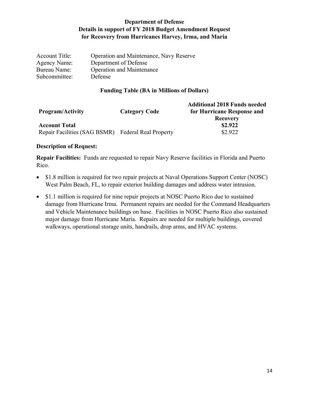| <b>Account Title:</b> | Operation and Maintenance, Navy Reserve |
|-----------------------|-----------------------------------------|
| Agency Name:          | Department of Defense                   |
| Bureau Name:          | <b>Operation and Maintenance</b>        |
| Subcommittee:         | Defense                                 |

#### **Funding Table (BA in Millions of Dollars)**

| <b>Program/Activity</b>                            | <b>Category Code</b> | <b>Additional 2018 Funds needed</b><br>for Hurricane Response and<br><b>Recovery</b> |
|----------------------------------------------------|----------------------|--------------------------------------------------------------------------------------|
| <b>Account Total</b>                               |                      | \$2.922                                                                              |
| Repair Facilities (SAG BSMR) Federal Real Property |                      | \$2.922                                                                              |

#### **Description of Request:**

**Repair Facilities:** Funds are requested to repair Navy Reserve facilities in Florida and Puerto Rico.

- \$1.8 million is required for two repair projects at Naval Operations Support Center (NOSC) West Palm Beach, FL, to repair exterior building damages and address water intrusion.
- \$1.1 million is required for nine repair projects at NOSC Puerto Rico due to sustained damage from Hurricane Irma. Permanent repairs are needed for the Command Headquarters and Vehicle Maintenance buildings on base. Facilities in NOSC Puerto Rico also sustained major damage from Hurricane Maria. Repairs are needed for multiple buildings, covered walkways, operational storage units, handrails, drop arms, and HVAC systems.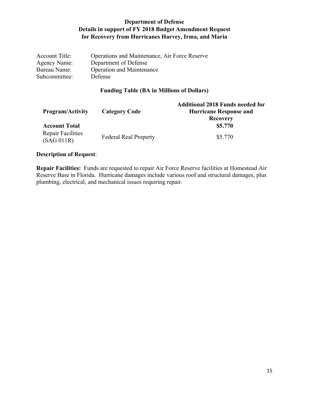| <b>Account Title:</b> | Operations and Maintenance, Air Force Reserve |
|-----------------------|-----------------------------------------------|
| Agency Name:          | Department of Defense                         |
| Bureau Name:          | <b>Operation and Maintenance</b>              |
| Subcommittee:         | <b>Defense</b>                                |

## **Funding Table (BA in Millions of Dollars)**

| <b>Program/Activity</b>                | <b>Category Code</b>         | <b>Additional 2018 Funds needed for</b><br><b>Hurricane Response and</b><br><b>Recovery</b> |
|----------------------------------------|------------------------------|---------------------------------------------------------------------------------------------|
| <b>Account Total</b>                   |                              | \$5.770                                                                                     |
| <b>Repair Facilities</b><br>(SAG 011R) | <b>Federal Real Property</b> | \$5.770                                                                                     |

## **Description of Request**:

**Repair Facilities:** Funds are requested to repair Air Force Reserve facilities at Homestead Air Reserve Base in Florida. Hurricane damages include various roof and structural damages, plus plumbing, electrical, and mechanical issues requiring repair.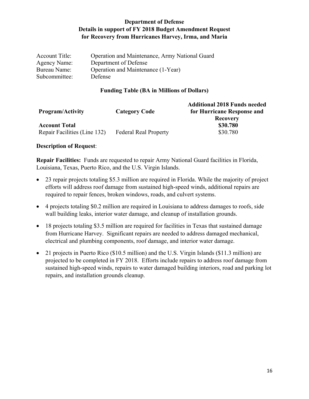| <b>Account Title:</b> | Operation and Maintenance, Army National Guard |
|-----------------------|------------------------------------------------|
| Agency Name:          | Department of Defense                          |
| Bureau Name:          | Operation and Maintenance (1-Year)             |
| Subcommittee:         | <b>Defense</b>                                 |

#### **Funding Table (BA in Millions of Dollars)**

| <b>Program/Activity</b>                              | <b>Category Code</b>         | <b>Additional 2018 Funds needed</b><br>for Hurricane Response and<br><b>Recovery</b> |
|------------------------------------------------------|------------------------------|--------------------------------------------------------------------------------------|
| <b>Account Total</b><br>Repair Facilities (Line 132) | <b>Federal Real Property</b> | \$30.780<br>\$30.780                                                                 |
|                                                      |                              |                                                                                      |

#### **Description of Request**:

**Repair Facilities:** Funds are requested to repair Army National Guard facilities in Florida, Louisiana, Texas, Puerto Rico, and the U.S. Virgin Islands.

- 23 repair projects totaling \$5.3 million are required in Florida. While the majority of project efforts will address roof damage from sustained high-speed winds, additional repairs are required to repair fences, broken windows, roads, and culvert systems.
- 4 projects totaling \$0.2 million are required in Louisiana to address damages to roofs, side wall building leaks, interior water damage, and cleanup of installation grounds.
- 18 projects totaling \$3.5 million are required for facilities in Texas that sustained damage from Hurricane Harvey. Significant repairs are needed to address damaged mechanical, electrical and plumbing components, roof damage, and interior water damage.
- 21 projects in Puerto Rico (\$10.5 million) and the U.S. Virgin Islands (\$11.3 million) are projected to be completed in FY 2018. Efforts include repairs to address roof damage from sustained high-speed winds, repairs to water damaged building interiors, road and parking lot repairs, and installation grounds cleanup.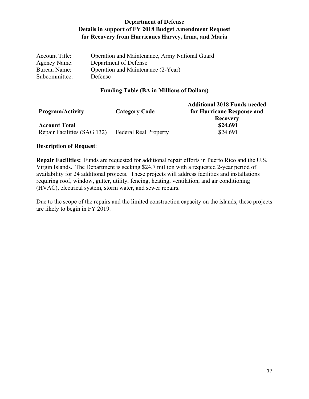| <b>Account Title:</b> | Operation and Maintenance, Army National Guard |
|-----------------------|------------------------------------------------|
| Agency Name:          | Department of Defense                          |
| Bureau Name:          | Operation and Maintenance (2-Year)             |
| Subcommittee:         | <b>Defense</b>                                 |

#### **Funding Table (BA in Millions of Dollars)**

| <b>Program/Activity</b>     | <b>Category Code</b>         | <b>Additional 2018 Funds needed</b><br>for Hurricane Response and<br><b>Recovery</b> |
|-----------------------------|------------------------------|--------------------------------------------------------------------------------------|
| <b>Account Total</b>        |                              | \$24.691                                                                             |
| Repair Facilities (SAG 132) | <b>Federal Real Property</b> | \$24.691                                                                             |

#### **Description of Request**:

**Repair Facilities:** Funds are requested for additional repair efforts in Puerto Rico and the U.S. Virgin Islands. The Department is seeking \$24.7 million with a requested 2-year period of availability for 24 additional projects. These projects will address facilities and installations requiring roof, window, gutter, utility, fencing, heating, ventilation, and air conditioning (HVAC), electrical system, storm water, and sewer repairs.

Due to the scope of the repairs and the limited construction capacity on the islands, these projects are likely to begin in FY 2019.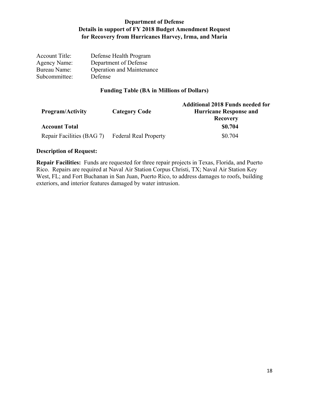| Defense Health Program           |
|----------------------------------|
| Department of Defense            |
| <b>Operation and Maintenance</b> |
| Defense                          |
|                                  |

## **Funding Table (BA in Millions of Dollars)**

| <b>Program/Activity</b>   | <b>Category Code</b>         | <b>Additional 2018 Funds needed for</b><br><b>Hurricane Response and</b><br><b>Recovery</b> |
|---------------------------|------------------------------|---------------------------------------------------------------------------------------------|
| <b>Account Total</b>      |                              | \$0.704                                                                                     |
| Repair Facilities (BAG 7) | <b>Federal Real Property</b> | \$0.704                                                                                     |

#### **Description of Request:**

**Repair Facilities:** Funds are requested for three repair projects in Texas, Florida, and Puerto Rico. Repairs are required at Naval Air Station Corpus Christi, TX; Naval Air Station Key West, FL; and Fort Buchanan in San Juan, Puerto Rico, to address damages to roofs, building exteriors, and interior features damaged by water intrusion.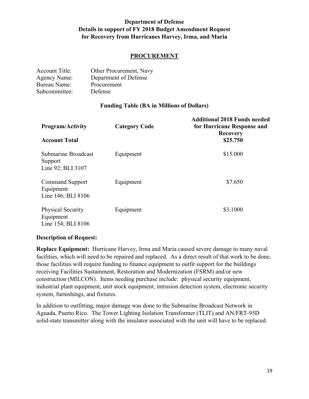## **PROCUREMENT**

| <b>Account Title:</b> | Other Procurement, Navy |
|-----------------------|-------------------------|
| <b>Agency Name:</b>   | Department of Defense   |
| <b>Bureau Name:</b>   | Procurement             |
| Subcommittee:         | Defense                 |

#### **Funding Table (BA in Millions of Dollars)**

| <b>Program/Activity</b>                                     | <b>Category Code</b> | <b>Additional 2018 Funds needed</b><br>for Hurricane Response and<br><b>Recovery</b> |
|-------------------------------------------------------------|----------------------|--------------------------------------------------------------------------------------|
| <b>Account Total</b>                                        |                      | \$25.750                                                                             |
| Submarine Broadcast<br>Support<br>Line 92; BLI 3107         | Equipment            | \$15.000                                                                             |
| <b>Command Support</b><br>Equipment<br>Line 146; BLI 8106   | Equipment            | \$7.650                                                                              |
| <b>Physical Security</b><br>Equipment<br>Line 154; BLI 8106 | Equipment            | \$3.1000                                                                             |

#### **Description of Request:**

**Replace Equipment:** Hurricane Harvey, Irma and Maria caused severe damage to many naval facilities, which will need to be repaired and replaced. As a direct result of that work to be done, those facilities will require funding to finance equipment to outfit support for the buildings receiving Facilities Sustainment, Restoration and Modernization (FSRM) and/or new construction (MILCON). Items needing purchase include: physical security equipment, industrial plant equipment, unit stock equipment, intrusion detection system, electronic security system, furnishings, and fixtures.

In addition to outfitting, major damage was done to the Submarine Broadcast Network in Aguada, Puerto Rico. The Tower Lighting Isolation Transformer (TLIT) and AN/FRT-95D solid-state transmitter along with the insulator associated with the unit will have to be replaced.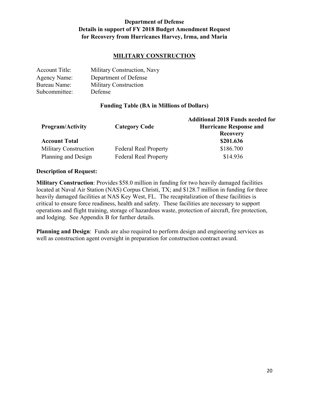## **MILITARY CONSTRUCTION**

| <b>Account Title:</b> | Military Construction, Navy  |
|-----------------------|------------------------------|
| <b>Agency Name:</b>   | Department of Defense        |
| Bureau Name:          | <b>Military Construction</b> |
| Subcommittee:         | Defense                      |

#### **Funding Table (BA in Millions of Dollars)**

| <b>Program/Activity</b>      | <b>Category Code</b>         | <b>Additional 2018 Funds needed for</b><br><b>Hurricane Response and</b><br><b>Recovery</b> |
|------------------------------|------------------------------|---------------------------------------------------------------------------------------------|
| <b>Account Total</b>         |                              | \$201.636                                                                                   |
| <b>Military Construction</b> | <b>Federal Real Property</b> | \$186.700                                                                                   |
| Planning and Design          | <b>Federal Real Property</b> | \$14.936                                                                                    |

#### **Description of Request:**

**Military Construction**: Provides \$58.0 million in funding for two heavily damaged facilities located at Naval Air Station (NAS) Corpus Christi, TX; and \$128.7 million in funding for three heavily damaged facilities at NAS Key West, FL. The recapitalization of these facilities is critical to ensure force readiness, health and safety. These facilities are necessary to support operations and flight training, storage of hazardous waste, protection of aircraft, fire protection, and lodging. See Appendix B for further details.

**Planning and Design**: Funds are also required to perform design and engineering services as well as construction agent oversight in preparation for construction contract award.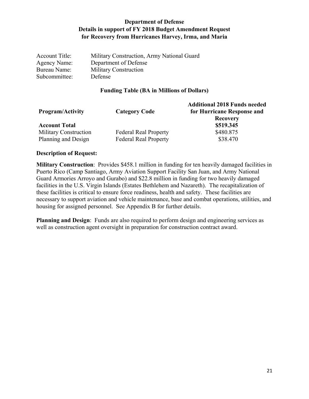| <b>Account Title:</b> | Military Construction, Army National Guard |
|-----------------------|--------------------------------------------|
| Agency Name:          | Department of Defense                      |
| Bureau Name:          | <b>Military Construction</b>               |
| Subcommittee:         | Defense                                    |

#### **Funding Table (BA in Millions of Dollars)**

| <b>Program/Activity</b>      | <b>Category Code</b>         | <b>Additional 2018 Funds needed</b><br>for Hurricane Response and<br><b>Recovery</b> |
|------------------------------|------------------------------|--------------------------------------------------------------------------------------|
| <b>Account Total</b>         |                              | \$519.345                                                                            |
| <b>Military Construction</b> | <b>Federal Real Property</b> | \$480.875                                                                            |
| Planning and Design          | <b>Federal Real Property</b> | \$38.470                                                                             |

#### **Description of Request:**

**Military Construction**: Provides \$458.1 million in funding for ten heavily damaged facilities in Puerto Rico (Camp Santiago, Army Aviation Support Facility San Juan, and Army National Guard Armories Arroyo and Gurabo) and \$22.8 million in funding for two heavily damaged facilities in the U.S. Virgin Islands (Estates Bethlehem and Nazareth). The recapitalization of these facilities is critical to ensure force readiness, health and safety. These facilities are necessary to support aviation and vehicle maintenance, base and combat operations, utilities, and housing for assigned personnel. See Appendix B for further details.

**Planning and Design**: Funds are also required to perform design and engineering services as well as construction agent oversight in preparation for construction contract award.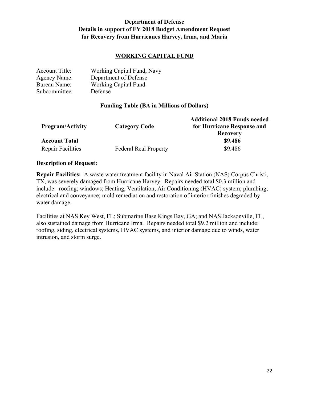## **WORKING CAPITAL FUND**

| <b>Account Title:</b> | Working Capital Fund, Navy  |
|-----------------------|-----------------------------|
| <b>Agency Name:</b>   | Department of Defense       |
| Bureau Name:          | <b>Working Capital Fund</b> |
| Subcommittee:         | Defense                     |

#### **Funding Table (BA in Millions of Dollars)**

| <b>Program/Activity</b>  | <b>Category Code</b>         | <b>Additional 2018 Funds needed</b><br>for Hurricane Response and<br><b>Recovery</b> |
|--------------------------|------------------------------|--------------------------------------------------------------------------------------|
| <b>Account Total</b>     |                              | \$9.486                                                                              |
| <b>Repair Facilities</b> | <b>Federal Real Property</b> | \$9.486                                                                              |

#### **Description of Request:**

**Repair Facilities:** A waste water treatment facility in Naval Air Station (NAS) Corpus Christi, TX, was severely damaged from Hurricane Harvey. Repairs needed total \$0.3 million and include: roofing; windows; Heating, Ventilation, Air Conditioning (HVAC) system; plumbing; electrical and conveyance; mold remediation and restoration of interior finishes degraded by water damage.

Facilities at NAS Key West, FL; Submarine Base Kings Bay, GA; and NAS Jacksonville, FL, also sustained damage from Hurricane Irma. Repairs needed total \$9.2 million and include: roofing, siding, electrical systems, HVAC systems, and interior damage due to winds, water intrusion, and storm surge.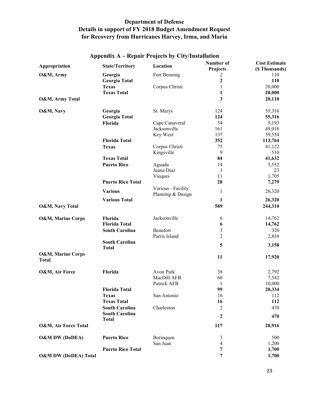| Appropriation                                | <b>State/Territory</b>                         | Location                                | Number of<br>Projects | <b>Cost Estimate</b><br>(\$ Thousands) |
|----------------------------------------------|------------------------------------------------|-----------------------------------------|-----------------------|----------------------------------------|
| O&M, Army                                    | Georgia                                        | Fort Benning                            | 2                     | 110                                    |
|                                              | <b>Georgia Total</b>                           |                                         | $\overline{2}$        | 110                                    |
|                                              | <b>Texas</b>                                   | Corpus Christi                          | $\mathbf{1}$          | 20,000                                 |
|                                              | <b>Texas Total</b>                             |                                         | 1                     | 20,000                                 |
| O&M, Army Total                              |                                                |                                         | 3                     | 20,110                                 |
| O&M, Navy                                    | Georgia                                        | St. Marys                               | 124                   | 55,316                                 |
|                                              | <b>Georgia Total</b>                           |                                         | 124                   | 55,316                                 |
|                                              | Florida                                        | Cape Canaveral                          | 54                    | 5,193                                  |
|                                              |                                                | Jacksonville                            | 161                   | 49,016                                 |
|                                              |                                                | Key West                                | 137                   | 59,554                                 |
|                                              | <b>Florida Total</b>                           |                                         | 352                   | 113,764                                |
|                                              | <b>Texas</b>                                   | Corpus Christi                          | 75                    | 41,122                                 |
|                                              |                                                | Kingsville                              | 9                     | 510                                    |
|                                              | <b>Texas Total</b>                             |                                         | 84                    | 41,632                                 |
|                                              | <b>Puerto Rico</b>                             | Aguada                                  | 14                    | 5,552                                  |
|                                              |                                                | Juana Diaz                              | 3                     | 23                                     |
|                                              |                                                | Vieques                                 | 11                    | 1,705                                  |
|                                              | <b>Puerto Rico Total</b>                       |                                         | 28                    | 7,279                                  |
|                                              | <b>Various</b>                                 | Various - Facility<br>Planning & Design | 1                     | 26,320                                 |
|                                              | <b>Various Total</b>                           |                                         | 1                     | 26,320                                 |
| O&M, Navy Total                              |                                                |                                         | 589                   | 244,310                                |
| <b>O&amp;M, Marine Corps</b>                 | Florida                                        | Jacksonville                            | 6                     | 14,762                                 |
|                                              | <b>Florida Total</b>                           |                                         | 6                     | 14,762                                 |
|                                              | <b>South Carolina</b>                          | Beaufort                                | 3                     | 320                                    |
|                                              |                                                | Parris Island                           | $\overline{2}$        | 2,838                                  |
|                                              | <b>South Carolina</b><br><b>Total</b>          |                                         | 5                     | 3,158                                  |
| <b>O&amp;M, Marine Corps</b><br><b>Total</b> |                                                |                                         | 11                    | 17,920                                 |
|                                              |                                                |                                         |                       |                                        |
| O&M, Air Force                               | Florida                                        | Avon Park                               | 38                    | 2,792                                  |
|                                              |                                                | MacDill AFB                             | 60                    | 7,542                                  |
|                                              |                                                | Patrick AFB                             | $\mathbf{1}$          | 10,000                                 |
|                                              | <b>Florida Total</b>                           |                                         | 99                    | 20,334                                 |
|                                              | <b>Texas</b>                                   | San Antonio                             | 16                    | 112                                    |
|                                              | <b>Texas Total</b>                             |                                         | 16                    | 112                                    |
|                                              | <b>South Carolina</b><br><b>South Carolina</b> | Charleston                              | $\overline{c}$        | 470                                    |
|                                              | <b>Total</b>                                   |                                         | $\boldsymbol{2}$      | 470                                    |
| <b>O&amp;M, Air Force Total</b>              |                                                |                                         | 117                   | 20,916                                 |
| <b>O&amp;M DW (DoDEA)</b>                    | <b>Puerto Rico</b>                             | Borinquen                               | 3                     | 500                                    |
|                                              |                                                | San Juan                                | 4                     | 1,200                                  |
|                                              | <b>Puerto Rico Total</b>                       |                                         | 7                     | 1,700                                  |
| <b>O&amp;M DW (DoDEA) Total</b>              |                                                |                                         | 7                     | 1,700                                  |

## **Appendix A – Repair Projects by City/Installation**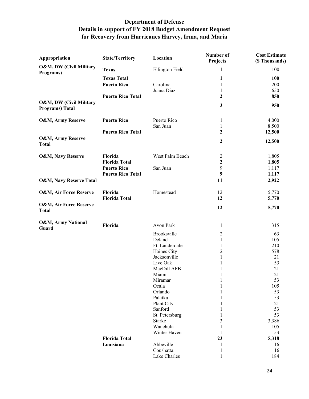| Appropriation                                      | <b>State/Territory</b>   | Location               | Number of<br>Projects        | <b>Cost Estimate</b><br>(\$ Thousands) |
|----------------------------------------------------|--------------------------|------------------------|------------------------------|----------------------------------------|
| O&M, DW (Civil Military<br>Programs)               | <b>Texas</b>             | <b>Ellington Field</b> | $\mathbf{1}$                 | 100                                    |
|                                                    | <b>Texas Total</b>       |                        | 1                            | 100                                    |
|                                                    | <b>Puerto Rico</b>       | Carolina               | 1                            | 200                                    |
|                                                    |                          | Juana Díaz             | $\mathbf{1}$                 | 650                                    |
|                                                    | <b>Puerto Rico Total</b> |                        | $\mathbf{2}$                 | 850                                    |
| O&M, DW (Civil Military<br><b>Programs</b> ) Total |                          |                        | 3                            | 950                                    |
| <b>O&amp;M, Army Reserve</b>                       | <b>Puerto Rico</b>       | Puerto Rico            | $\mathbf{1}$                 | 4,000                                  |
|                                                    |                          | San Juan               | $\mathbf{1}$                 | 8,500                                  |
|                                                    | <b>Puerto Rico Total</b> |                        | $\mathbf{2}$                 | 12,500                                 |
| O&M, Army Reserve<br><b>Total</b>                  |                          |                        | 2                            | 12,500                                 |
| <b>O&amp;M, Navy Reserve</b>                       | Florida                  | West Palm Beach        | 2                            | 1,805                                  |
|                                                    | <b>Florida Total</b>     |                        | $\boldsymbol{2}$             | 1,805                                  |
|                                                    | <b>Puerto Rico</b>       | San Juan               | 9                            | 1,117                                  |
|                                                    | <b>Puerto Rico Total</b> |                        | 9                            | 1,117                                  |
| <b>O&amp;M, Navy Reserve Total</b>                 |                          |                        | 11                           | 2,922                                  |
| O&M, Air Force Reserve                             | Florida                  | Homestead              | 12                           | 5,770                                  |
|                                                    | <b>Florida Total</b>     |                        | 12                           | 5,770                                  |
| O&M, Air Force Reserve<br><b>Total</b>             |                          |                        | 12                           | 5,770                                  |
| O&M, Army National<br>Guard                        | Florida                  | Avon Park              | 1                            | 315                                    |
|                                                    |                          | Brooksville            | 2                            | 63                                     |
|                                                    |                          | Deland                 | $\mathbf{1}$                 | 105                                    |
|                                                    |                          | Ft. Lauderdale         | 1                            | 210                                    |
|                                                    |                          | Haines City            | $\overline{c}$               | 578                                    |
|                                                    |                          | Jacksonville           | $\mathbf{1}$                 | 21                                     |
|                                                    |                          | Live Oak               | 1                            | 53                                     |
|                                                    |                          | MacDill AFB            | 1                            | 21<br>21                               |
|                                                    |                          | Miami<br>Miramar       | $\mathbf{1}$<br>$\mathbf{1}$ | 53                                     |
|                                                    |                          | Ocala                  | 1                            | 105                                    |
|                                                    |                          | Orlando                | 1                            | 53                                     |
|                                                    |                          | Palatka                |                              | 53                                     |
|                                                    |                          | Plant City             |                              | 21                                     |
|                                                    |                          | Sanford                |                              | 53                                     |
|                                                    |                          | St. Petersburg         | 1                            | 53                                     |
|                                                    |                          | <b>Starke</b>          | 3                            | 3,386                                  |
|                                                    |                          | Wauchula               | 1                            | 105                                    |
|                                                    |                          | Winter Haven           | 1                            | 53                                     |
|                                                    | <b>Florida Total</b>     |                        | 23                           | 5,318                                  |
|                                                    | Louisiana                | Abbeville              | 1                            | 16                                     |
|                                                    |                          | Coushatta              | 1                            | 16                                     |
|                                                    |                          | Lake Charles           |                              | 184                                    |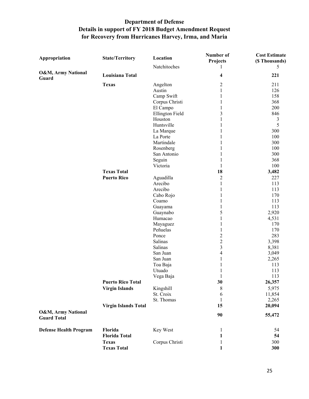| Appropriation                                       | <b>State/Territory</b>      | Location               | Number of<br>Projects   | <b>Cost Estimate</b><br>(\$ Thousands) |
|-----------------------------------------------------|-----------------------------|------------------------|-------------------------|----------------------------------------|
|                                                     |                             | Natchitoches           |                         | 5                                      |
| O&M, Army National<br>Guard                         | Louisiana Total             |                        | $\overline{\mathbf{4}}$ | 221                                    |
|                                                     | <b>Texas</b>                | Angelton               | $\overline{c}$          | 211                                    |
|                                                     |                             | Austin                 | $\mathbf{1}$            | 126                                    |
|                                                     |                             | Camp Swift             | 1                       | 158                                    |
|                                                     |                             | Corpus Christi         | 1                       | 368                                    |
|                                                     |                             | El Campo               | 1                       | 200                                    |
|                                                     |                             | <b>Ellington Field</b> | 3                       | 846                                    |
|                                                     |                             | Houston                | 1                       | 3                                      |
|                                                     |                             | Huntsville             | 1                       | 5                                      |
|                                                     |                             | La Marque              | 1                       | 300                                    |
|                                                     |                             | La Porte               | 1                       | 100                                    |
|                                                     |                             | Martindale             | 1                       | 300                                    |
|                                                     |                             | Rosenberg              | 1                       | 100                                    |
|                                                     |                             | San Antonio            | 1                       | 300                                    |
|                                                     |                             | Seguin                 | 1                       | 368                                    |
|                                                     |                             | Victoria               | 1                       | 100                                    |
|                                                     | <b>Texas Total</b>          |                        | 18                      | 3,482                                  |
|                                                     | <b>Puerto Rico</b>          | Aguadilla              | $\overline{2}$          | 227                                    |
|                                                     |                             | Arecibo                | $\mathbf{1}$            | 113                                    |
|                                                     |                             | Arecibo                | $\mathbf{1}$            | 113                                    |
|                                                     |                             | Cabo Rojo              | $\mathbf{1}$            | 170                                    |
|                                                     |                             | Coamo                  | 1                       | 113                                    |
|                                                     |                             | Guayama                | $\mathbf{1}$            | 113                                    |
|                                                     |                             | Guaynabo               | 5                       | 2,920                                  |
|                                                     |                             | Humacao                | 1                       | 4,531                                  |
|                                                     |                             | Mayaguez               | 1                       | 170                                    |
|                                                     |                             | Peñuelas               | $\mathbf{1}$            | 170                                    |
|                                                     |                             | Ponce                  | $\overline{c}$          | 283                                    |
|                                                     |                             | Salinas<br>Salinas     | $\overline{c}$          | 3,398                                  |
|                                                     |                             |                        | 3                       | 8,381                                  |
|                                                     |                             | San Juan               | $\overline{\mathbf{4}}$ | 3,049                                  |
|                                                     |                             | San Juan               | $\mathbf{1}$            | 2,265<br>113                           |
|                                                     |                             | Toa Baja<br>Utuado     | 1<br>1                  | 113                                    |
|                                                     |                             |                        |                         | 113                                    |
|                                                     | <b>Puerto Rico Total</b>    | Vega Baja              | 30                      | 26,357                                 |
|                                                     |                             | Kingshill              | 8                       | 5,975                                  |
|                                                     | <b>Virgin Islands</b>       | St. Croix              |                         | 11,854                                 |
|                                                     |                             | St. Thomas             | 6<br>1                  | 2,265                                  |
|                                                     | <b>Virgin Islands Total</b> |                        | 15                      | 20,094                                 |
|                                                     |                             |                        |                         |                                        |
| <b>O&amp;M, Army National</b><br><b>Guard Total</b> |                             |                        | 90                      | 55,472                                 |
| <b>Defense Health Program</b>                       | Florida                     | Key West               | 1                       | 54                                     |
|                                                     | <b>Florida Total</b>        |                        | 1                       | 54                                     |
|                                                     | <b>Texas</b>                | Corpus Christi         | 1                       | 300                                    |
|                                                     | <b>Texas Total</b>          |                        | 1                       | 300                                    |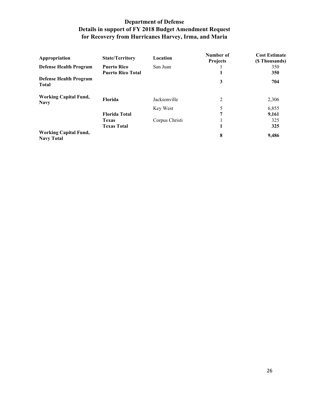| Appropriation                                     | <b>State/Territory</b>   | Location       | Number of<br><b>Projects</b> | <b>Cost Estimate</b><br>(\$ Thousands) |
|---------------------------------------------------|--------------------------|----------------|------------------------------|----------------------------------------|
| <b>Defense Health Program</b>                     | <b>Puerto Rico</b>       | San Juan       |                              | 350                                    |
|                                                   | <b>Puerto Rico Total</b> |                |                              | 350                                    |
| <b>Defense Health Program</b><br><b>Total</b>     |                          |                | 3                            | 704                                    |
| <b>Working Capital Fund,</b><br><b>Navy</b>       | <b>Florida</b>           | Jacksonville   | 2                            | 2,306                                  |
|                                                   |                          | Key West       | 5                            | 6,855                                  |
|                                                   | <b>Florida Total</b>     |                | 7                            | 9,161                                  |
|                                                   | <b>Texas</b>             | Corpus Christi |                              | 325                                    |
|                                                   | <b>Texas Total</b>       |                |                              | 325                                    |
| <b>Working Capital Fund,</b><br><b>Navy Total</b> |                          |                | 8                            | 9,486                                  |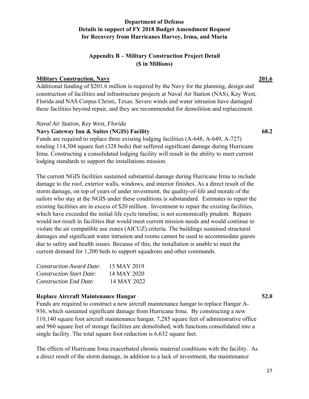## **Appendix B – Military Construction Project Detail (\$ in Millions)**

## **Military Construction, Navy 201.6**

Additional funding of \$201.6 million is required by the Navy for the planning, design and construction of facilities and infrastructure projects at Naval Air Station (NAS), Key West, Florida and NAS Corpus Christi, Texas. Severe winds and water intrusion have damaged these facilities beyond repair, and they are recommended for demolition and replacement.

#### *Naval Air Station, Key West, Florida*

## **Navy Gateway Inn & Suites (NGIS) Facility 68.2**

Funds are required to replace three existing lodging facilities (A-648, A-649, A-727) totaling 114,304 square feet (328 beds) that suffered significant damage during Hurricane Irma. Constructing a consolidated lodging facility will result in the ability to meet current lodging standards to support the installations mission.

The current NGIS facilities sustained substantial damage during Hurricane Irma to include damage to the roof, exterior walls, windows, and interior finishes. As a direct result of the storm damage, on top of years of under investment, the quality-of-life and morale of the sailors who stay at the NGIS under these conditions is substandard. Estimates to repair the existing facilities are in excess of \$20 million. Investment to repair the existing facilities, which have exceeded the initial life cycle timeline, is not economically prudent. Repairs would not result in facilities that would meet current mission needs and would continue to violate the air compatible use zones (AICUZ) criteria. The buildings sustained structural damages and significant water intrusion and rooms cannot be used to accommodate guests due to safety and health issues. Because of this, the installation is unable to meet the current demand for 1,200 beds to support squadrons and other commands.

| <b>Construction Award Date:</b> | 15 MAY 2019 |
|---------------------------------|-------------|
| <b>Construction Start Date:</b> | 14 MAY 2020 |
| <b>Construction End Date:</b>   | 14 MAY 2022 |

#### **Replace Aircraft Maintenance Hangar 52.0**

Funds are required to construct a new aircraft maintenance hangar to replace Hangar A-936, which sustained significant damage from Hurricane Irma. By constructing a new 110,140 square foot aircraft maintenance hangar, 7,285 square feet of administrative office and 960 square feet of storage facilities are demolished, with functions consolidated into a single facility. The total square foot reduction is 6,632 square feet.

The effects of Hurricane Irma exacerbated chronic material conditions with the facility. As a direct result of the storm damage, in addition to a lack of investment, the maintenance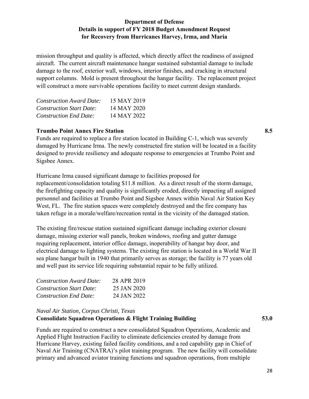mission throughput and quality is affected, which directly affect the readiness of assigned aircraft. The current aircraft maintenance hangar sustained substantial damage to include damage to the roof, exterior wall, windows, interior finishes, and cracking in structural support columns. Mold is present throughout the hangar facility. The replacement project will construct a more survivable operations facility to meet current design standards.

| <b>Construction Award Date:</b> | 15 MAY 2019 |
|---------------------------------|-------------|
| <b>Construction Start Date:</b> | 14 MAY 2020 |
| <b>Construction End Date:</b>   | 14 MAY 2022 |

## **Trumbo Point Annex Fire Station 8.5**

Funds are required to replace a fire station located in Building C-1, which was severely damaged by Hurricane Irma. The newly constructed fire station will be located in a facility designed to provide resiliency and adequate response to emergencies at Trumbo Point and Sigsbee Annex.

Hurricane Irma caused significant damage to facilities proposed for replacement/consolidation totaling \$11.8 million. As a direct result of the storm damage, the firefighting capacity and quality is significantly eroded, directly impacting all assigned personnel and facilities at Trumbo Point and Sigsbee Annex within Naval Air Station Key West, FL. The fire station spaces were completely destroyed and the fire company has taken refuge in a morale/welfare/recreation rental in the vicinity of the damaged station.

The existing fire/rescue station sustained significant damage including exterior closure damage, missing exterior wall panels, broken windows, roofing and gutter damage requiring replacement, interior office damage, inoperability of hangar bay door, and electrical damage to lighting systems. The existing fire station is located in a World War II sea plane hangar built in 1940 that primarily serves as storage; the facility is 77 years old and well past its service life requiring substantial repair to be fully utilized.

| <i>Construction Award Date:</i> | 28 APR 2019 |
|---------------------------------|-------------|
| <b>Construction Start Date:</b> | 25 JAN 2020 |
| <b>Construction End Date:</b>   | 24 JAN 2022 |

### *Naval Air Station, Corpus Christi, Texas*  **Consolidate Squadron Operations & Flight Training Building 53.0**

Funds are required to construct a new consolidated Squadron Operations, Academic and Applied Flight Instruction Facility to eliminate deficiencies created by damage from Hurricane Harvey, existing failed facility conditions, and a red capability gap in Chief of Naval Air Training (CNATRA)'s pilot training program. The new facility will consolidate primary and advanced aviator training functions and squadron operations, from multiple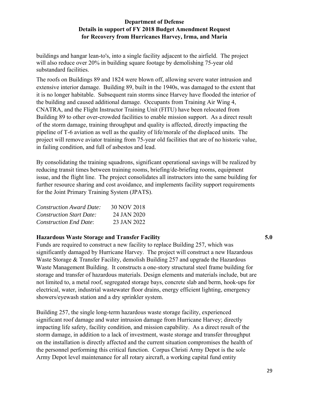buildings and hangar lean-to's, into a single facility adjacent to the airfield. The project will also reduce over 20% in building square footage by demolishing 75-year old substandard facilities.

The roofs on Buildings 89 and 1824 were blown off, allowing severe water intrusion and extensive interior damage. Building 89, built in the 1940s, was damaged to the extent that it is no longer habitable. Subsequent rain storms since Harvey have flooded the interior of the building and caused additional damage. Occupants from Training Air Wing 4, CNATRA, and the Flight Instructor Training Unit (FITU) have been relocated from Building 89 to other over-crowded facilities to enable mission support. As a direct result of the storm damage, training throughput and quality is affected, directly impacting the pipeline of T-6 aviation as well as the quality of life/morale of the displaced units. The project will remove aviator training from 75-year old facilities that are of no historic value, in failing condition, and full of asbestos and lead.

By consolidating the training squadrons, significant operational savings will be realized by reducing transit times between training rooms, briefing/de-briefing rooms, equipment issue, and the flight line. The project consolidates all instructors into the same building for further resource sharing and cost avoidance, and implements facility support requirements for the Joint Primary Training System (JPATS).

| <b>Construction Award Date:</b> | 30 NOV 2018 |
|---------------------------------|-------------|
| <b>Construction Start Date:</b> | 24 JAN 2020 |
| <b>Construction End Date:</b>   | 23 JAN 2022 |

## **Hazardous Waste Storage and Transfer Facility 5.0**

Funds are required to construct a new facility to replace Building 257, which was significantly damaged by Hurricane Harvey. The project will construct a new Hazardous Waste Storage & Transfer Facility, demolish Building 257 and upgrade the Hazardous Waste Management Building. It constructs a one-story structural steel frame building for storage and transfer of hazardous materials. Design elements and materials include, but are not limited to, a metal roof, segregated storage bays, concrete slab and berm, hook-ups for electrical, water, industrial wastewater floor drains, energy efficient lighting, emergency showers/eyewash station and a dry sprinkler system.

Building 257, the single long-term hazardous waste storage facility, experienced significant roof damage and water intrusion damage from Hurricane Harvey; directly impacting life safety, facility condition, and mission capability. As a direct result of the storm damage, in addition to a lack of investment, waste storage and transfer throughput on the installation is directly affected and the current situation compromises the health of the personnel performing this critical function. Corpus Christi Army Depot is the sole Army Depot level maintenance for all rotary aircraft, a working capital fund entity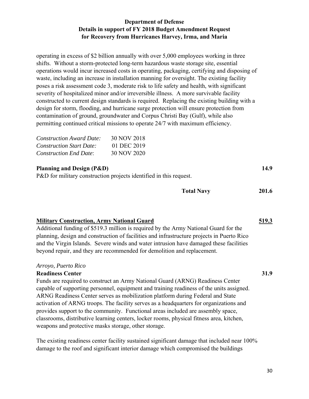operating in excess of \$2 billion annually with over 5,000 employees working in three shifts. Without a storm-protected long-term hazardous waste storage site, essential operations would incur increased costs in operating, packaging, certifying and disposing of waste, including an increase in installation manning for oversight. The existing facility poses a risk assessment code 3, moderate risk to life safety and health, with significant severity of hospitalized minor and/or irreversible illness. A more survivable facility constructed to current design standards is required. Replacing the existing building with a design for storm, flooding, and hurricane surge protection will ensure protection from contamination of ground, groundwater and Corpus Christi Bay (Gulf), while also permitting continued critical missions to operate 24/7 with maximum efficiency.

| <i>Construction Award Date:</i> | 30 NOV 2018 |
|---------------------------------|-------------|
| <b>Construction Start Date:</b> | 01 DEC 2019 |
| <b>Construction End Date:</b>   | 30 NOV 2020 |

## **Planning and Design (P&D) 14.9**

P&D for military construction projects identified in this request.

| <b>Total Navy</b> | 201.6 |
|-------------------|-------|
|                   |       |

#### **Military Construction, Army National Guard 519.3**

Additional funding of \$519.3 million is required by the Army National Guard for the planning, design and construction of facilities and infrastructure projects in Puerto Rico and the Virgin Islands. Severe winds and water intrusion have damaged these facilities beyond repair, and they are recommended for demolition and replacement.

#### *Arroyo, Puerto Rico*

#### **Readiness Center 31.9**

Funds are required to construct an Army National Guard (ARNG) Readiness Center capable of supporting personnel, equipment and training readiness of the units assigned. ARNG Readiness Center serves as mobilization platform during Federal and State activation of ARNG troops. The facility serves as a headquarters for organizations and provides support to the community. Functional areas included are assembly space, classrooms, distributive learning centers, locker rooms, physical fitness area, kitchen, weapons and protective masks storage, other storage.

The existing readiness center facility sustained significant damage that included near 100% damage to the roof and significant interior damage which compromised the buildings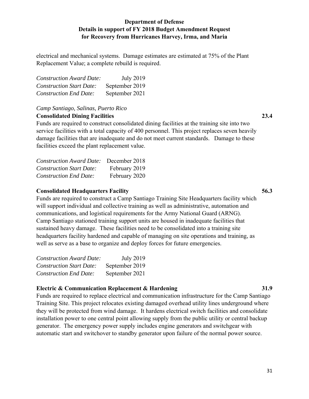electrical and mechanical systems. Damage estimates are estimated at 75% of the Plant Replacement Value; a complete rebuild is required.

| <b>Construction Award Date:</b> | July 2019      |
|---------------------------------|----------------|
| <b>Construction Start Date:</b> | September 2019 |
| <b>Construction End Date:</b>   | September 2021 |

# *Camp Santiago, Salinas, Puerto Rico*

#### **Consolidated Dining Facilities 23.4**

Funds are required to construct consolidated dining facilities at the training site into two service facilities with a total capacity of 400 personnel. This project replaces seven heavily damage facilities that are inadequate and do not meet current standards. Damage to these facilities exceed the plant replacement value.

| <b>Construction Award Date:</b> | December 2018 |
|---------------------------------|---------------|
| <b>Construction Start Date:</b> | February 2019 |
| <b>Construction End Date:</b>   | February 2020 |

#### **Consolidated Headquarters Facility 56.3**

Funds are required to construct a Camp Santiago Training Site Headquarters facility which will support individual and collective training as well as administrative, automation and communications, and logistical requirements for the Army National Guard (ARNG). Camp Santiago stationed training support units are housed in inadequate facilities that sustained heavy damage. These facilities need to be consolidated into a training site headquarters facility hardened and capable of managing on site operations and training, as well as serve as a base to organize and deploy forces for future emergencies.

| <b>Construction Award Date:</b> | <b>July 2019</b> |
|---------------------------------|------------------|
| <b>Construction Start Date:</b> | September 2019   |
| <b>Construction End Date:</b>   | September 2021   |

## **Electric & Communication Replacement & Hardening 31.9**

Funds are required to replace electrical and communication infrastructure for the Camp Santiago Training Site. This project relocates existing damaged overhead utility lines underground where they will be protected from wind damage. It hardens electrical switch facilities and consolidate installation power to one central point allowing supply from the public utility or central backup generator. The emergency power supply includes engine generators and switchgear with automatic start and switchover to standby generator upon failure of the normal power source.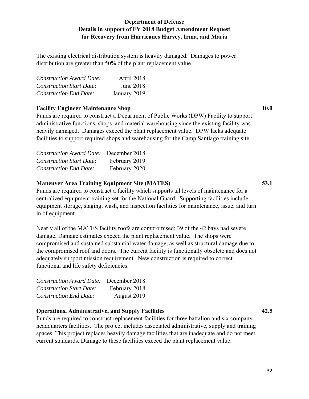The existing electrical distribution system is heavily damaged. Damages to power distribution are greater than 50% of the plant replacement value.

| <b>Construction Award Date:</b> | April 2018   |
|---------------------------------|--------------|
| <b>Construction Start Date:</b> | June 2018    |
| <b>Construction End Date:</b>   | January 2019 |

#### **Facility Engineer Maintenance Shop 10.0 10.0**

Funds are required to construct a Department of Public Works (DPW) Facility to support administrative functions, shops, and material warehousing since the existing facility was heavily damaged. Damages exceed the plant replacement value. DPW lacks adequate facilities to support required shops and warehousing for the Camp Santiago training site.

| <b>Construction Award Date:</b> December 2018 |               |
|-----------------------------------------------|---------------|
| <b>Construction Start Date:</b>               | February 2019 |
| <b>Construction End Date:</b>                 | February 2020 |

#### **Maneuver Area Training Equipment Site (MATES) 53.1**

Funds are required to construct a facility which supports all levels of maintenance for a centralized equipment training set for the National Guard. Supporting facilities include equipment storage, staging, wash, and inspection facilities for maintenance, issue, and turn in of equipment.

Nearly all of the MATES facility roofs are compromised; 39 of the 42 bays had severe damage. Damage estimates exceed the plant replacement value. The shops were compromised and sustained substantial water damage, as well as structural damage due to the compromised roof and doors. The current facility is functionally obsolete and does not adequately support mission requirement. New construction is required to correct functional and life safety deficiencies.

| <b>Construction Award Date:</b> December 2018 |               |
|-----------------------------------------------|---------------|
| <b>Construction Start Date:</b>               | February 2018 |
| <b>Construction End Date:</b>                 | August 2019   |

#### **Operations, Administrative, and Supply Facilities 42.5**

Funds are required to construct replacement facilities for three battalion and six company headquarters facilities. The project includes associated administrative, supply and training spaces. This project replaces heavily damage facilities that are inadequate and do not meet current standards. Damage to these facilities exceed the plant replacement value.

32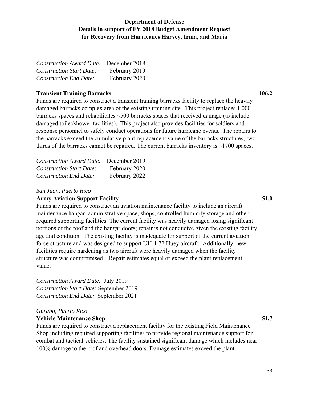| <b>Construction Award Date:</b> December 2018 |               |
|-----------------------------------------------|---------------|
| <b>Construction Start Date:</b>               | February 2019 |
| <b>Construction End Date:</b>                 | February 2020 |

#### **Transient Training Barracks 106.2**

Funds are required to construct a transient training barracks facility to replace the heavily damaged barracks complex area of the existing training site. This project replaces 1,000 barracks spaces and rehabilitates  $~500$  barracks spaces that received damage (to include damaged toilet/shower facilities). This project also provides facilities for soldiers and response personnel to safely conduct operations for future hurricane events. The repairs to the barracks exceed the cumulative plant replacement value of the barracks structures; two thirds of the barracks cannot be repaired. The current barracks inventory is  $\sim$ 1700 spaces.

| <b>Construction Award Date:</b> | December 2019 |
|---------------------------------|---------------|
| <b>Construction Start Date:</b> | February 2020 |
| <b>Construction End Date:</b>   | February 2022 |

#### *San Juan, Puerto Rico*

#### **Army Aviation Support Facility 51.0**

Funds are required to construct an aviation maintenance facility to include an aircraft maintenance hangar, administrative space, shops, controlled humidity storage and other required supporting facilities. The current facility was heavily damaged losing significant portions of the roof and the hangar doors; repair is not conducive given the existing facility age and condition. The existing facility is inadequate for support of the current aviation force structure and was designed to support UH-1 72 Huey aircraft. Additionally, new facilities require hardening as two aircraft were heavily damaged when the facility structure was compromised. Repair estimates equal or exceed the plant replacement value.

*Construction Award Date:* July 2019 *Construction Start Date:* September 2019 *Construction End Date:* September 2021

#### *Gurabo, Puerto Rico*

#### **Vehicle Maintenance Shop 51.7**

Funds are required to construct a replacement facility for the existing Field Maintenance Shop including required supporting facilities to provide regional maintenance support for combat and tactical vehicles. The facility sustained significant damage which includes near 100% damage to the roof and overhead doors. Damage estimates exceed the plant

33